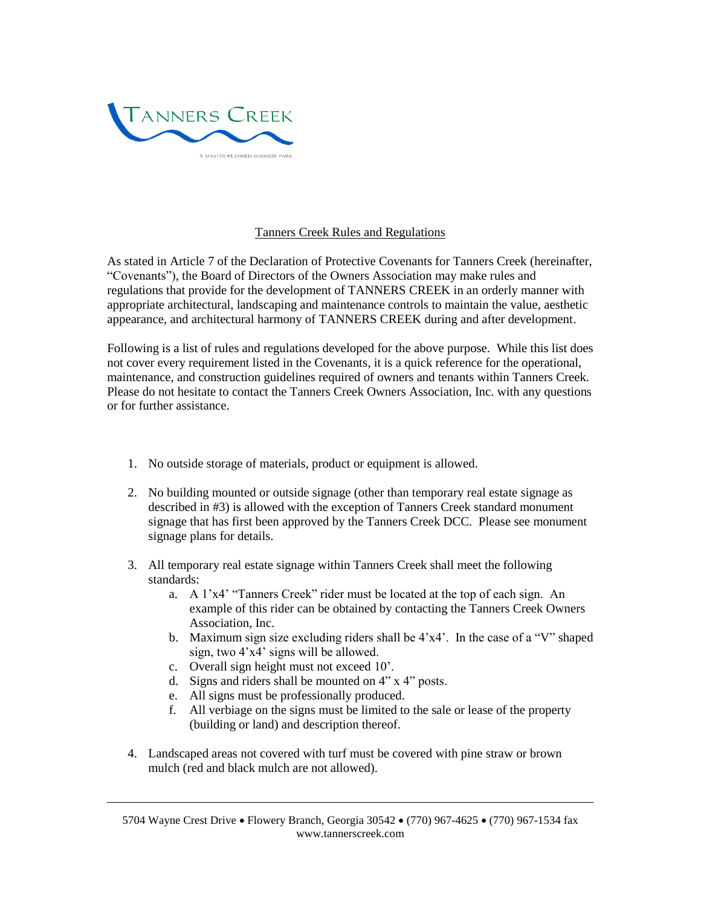

## Tanners Creek Rules and Regulations

As stated in Article 7 of the Declaration of Protective Covenants for Tanners Creek (hereinafter, "Covenants"), the Board of Directors of the Owners Association may make rules and regulations that provide for the development of TANNERS CREEK in an orderly manner with appropriate architectural, landscaping and maintenance controls to maintain the value, aesthetic appearance, and architectural harmony of TANNERS CREEK during and after development.

Following is a list of rules and regulations developed for the above purpose. While this list does not cover every requirement listed in the Covenants, it is a quick reference for the operational, maintenance, and construction guidelines required of owners and tenants within Tanners Creek. Please do not hesitate to contact the Tanners Creek Owners Association, Inc. with any questions or for further assistance.

- 1. No outside storage of materials, product or equipment is allowed.
- 2. No building mounted or outside signage (other than temporary real estate signage as described in #3) is allowed with the exception of Tanners Creek standard monument signage that has first been approved by the Tanners Creek DCC. Please see monument signage plans for details.
- 3. All temporary real estate signage within Tanners Creek shall meet the following standards:
	- a. A 1'x4' "Tanners Creek" rider must be located at the top of each sign. An example of this rider can be obtained by contacting the Tanners Creek Owners Association, Inc.
	- b. Maximum sign size excluding riders shall be 4'x4'. In the case of a "V" shaped sign, two 4'x4' signs will be allowed.
	- c. Overall sign height must not exceed 10'.
	- d. Signs and riders shall be mounted on 4" x 4" posts.
	- e. All signs must be professionally produced.
	- f. All verbiage on the signs must be limited to the sale or lease of the property (building or land) and description thereof.
- 4. Landscaped areas not covered with turf must be covered with pine straw or brown mulch (red and black mulch are not allowed).